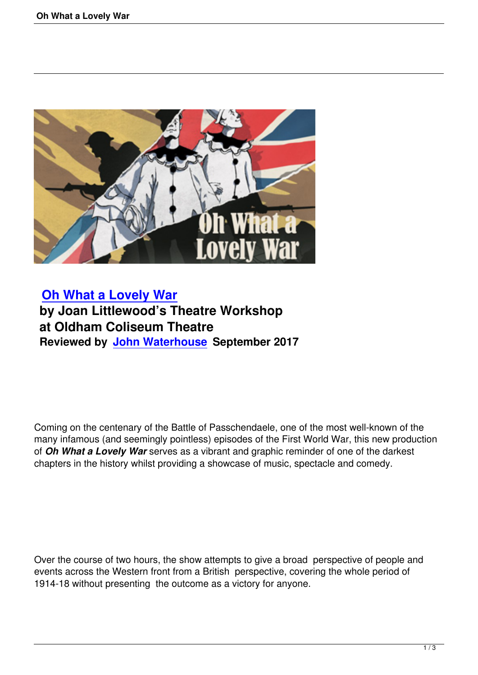

## **Oh What a Lovely War by Joan Littlewood's Theatre Workshop [at Oldham Coliseum Th](oh-what-a-lovely-war.html)eatre Reviewed by John Waterhouse September 2017**

Coming on the centenary of the Battle of Passchendaele, one of the most well-known of the many infamous (and seemingly pointless) episodes of the First World War, this new production of *Oh What a Lovely War* serves as a vibrant and graphic reminder of one of the darkest chapters in the history whilst providing a showcase of music, spectacle and comedy.

Over the course of two hours, the show attempts to give a broad perspective of people and events across the Western front from a British perspective, covering the whole period of 1914-18 without presenting the outcome as a victory for anyone.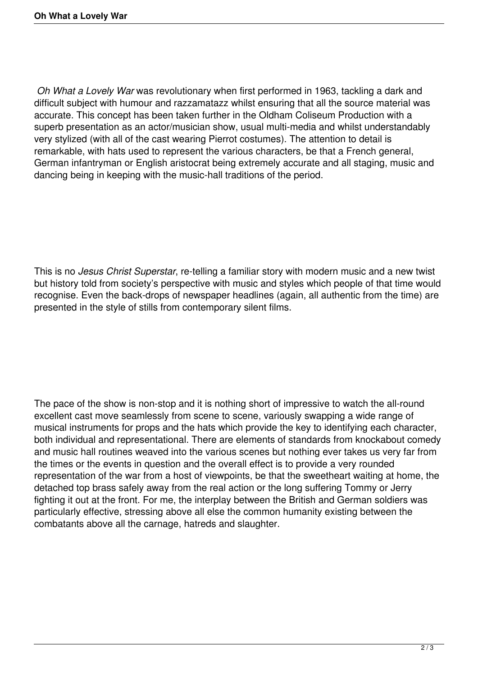*Oh What a Lovely War* was revolutionary when first performed in 1963, tackling a dark and difficult subject with humour and razzamatazz whilst ensuring that all the source material was accurate. This concept has been taken further in the Oldham Coliseum Production with a superb presentation as an actor/musician show, usual multi-media and whilst understandably very stylized (with all of the cast wearing Pierrot costumes). The attention to detail is remarkable, with hats used to represent the various characters, be that a French general, German infantryman or English aristocrat being extremely accurate and all staging, music and dancing being in keeping with the music-hall traditions of the period.

This is no *Jesus Christ Superstar*, re-telling a familiar story with modern music and a new twist but history told from society's perspective with music and styles which people of that time would recognise. Even the back-drops of newspaper headlines (again, all authentic from the time) are presented in the style of stills from contemporary silent films.

The pace of the show is non-stop and it is nothing short of impressive to watch the all-round excellent cast move seamlessly from scene to scene, variously swapping a wide range of musical instruments for props and the hats which provide the key to identifying each character, both individual and representational. There are elements of standards from knockabout comedy and music hall routines weaved into the various scenes but nothing ever takes us very far from the times or the events in question and the overall effect is to provide a very rounded representation of the war from a host of viewpoints, be that the sweetheart waiting at home, the detached top brass safely away from the real action or the long suffering Tommy or Jerry fighting it out at the front. For me, the interplay between the British and German soldiers was particularly effective, stressing above all else the common humanity existing between the combatants above all the carnage, hatreds and slaughter.